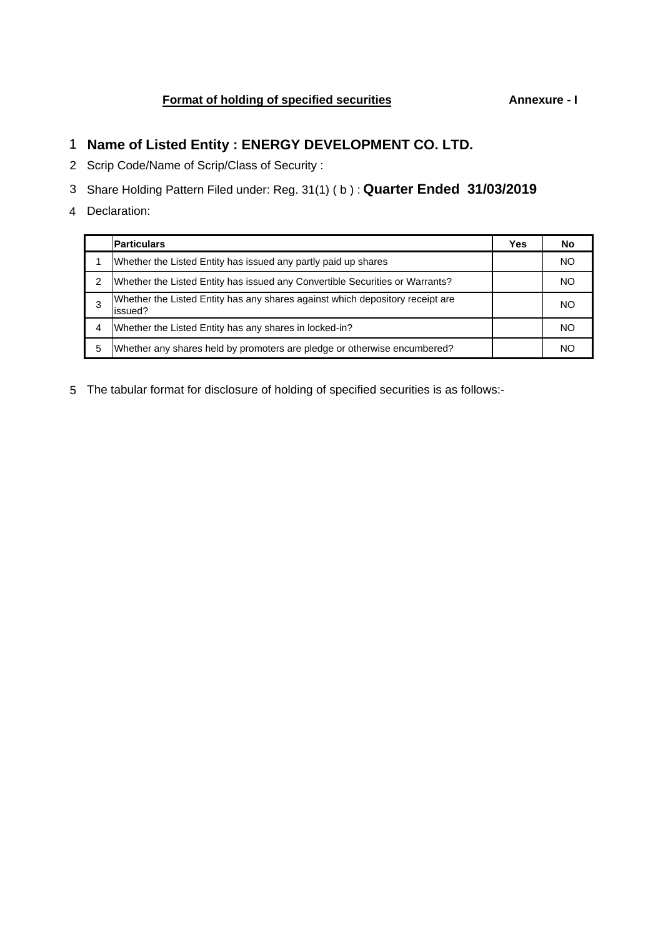# **Format of holding of specified securities Annexure - I**

- 1 **Name of Listed Entity : ENERGY DEVELOPMENT CO. LTD.**
- 2 Scrip Code/Name of Scrip/Class of Security :
- 3 Share Holding Pattern Filed under: Reg. 31(1) ( b ) : **Quarter Ended 31/03/2019**
- 4 Declaration:

|               | <b>Particulars</b>                                                                       | Yes | No  |
|---------------|------------------------------------------------------------------------------------------|-----|-----|
|               | Whether the Listed Entity has issued any partly paid up shares                           |     | NO. |
| $\mathcal{P}$ | Whether the Listed Entity has issued any Convertible Securities or Warrants?             |     | NO. |
|               | Whether the Listed Entity has any shares against which depository receipt are<br>issued? |     | NO. |
| 4             | Whether the Listed Entity has any shares in locked-in?                                   |     | NO. |
| 5             | Whether any shares held by promoters are pledge or otherwise encumbered?                 |     | NС  |

5 The tabular format for disclosure of holding of specified securities is as follows:-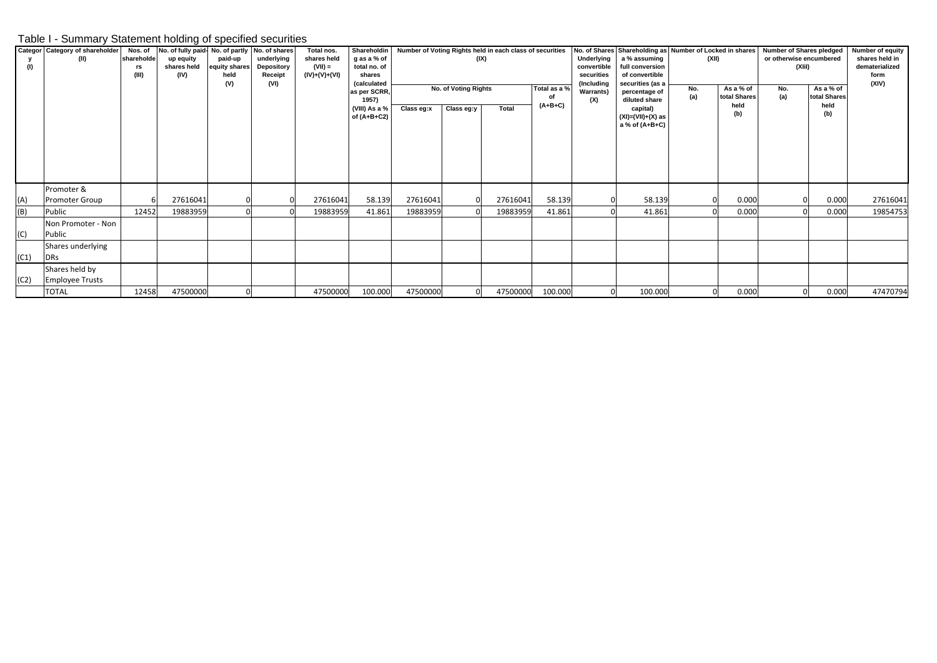## Table I - Summary Statement holding of specified securities

| (1)  | Categor Category of shareholder<br>(II)  | Nos. of<br>shareholde<br>rs<br>(III) | No. of fully paid- No. of partly No. of shares<br>up equity<br>shares held<br>(IV) | paid-up<br>equity shares<br>held<br>(V) | underlying<br><b>Depository</b><br>Receipt<br>(VI) | Total nos.<br>shares held<br>$(VII) =$<br>(IV)+(V)+(VI) | Shareholdin<br>g as a % of<br>total no. of<br>shares<br><i>(calculated</i> | Number of Voting Rights held in each class of securities<br>(IX) |                                    |          |                                 | Underlying<br>convertible<br>securities<br>(Including | No. of Shares Shareholding as Number of Locked in shares<br>a % assuming<br>full conversion<br>of convertible<br>securities (as a |            | (XII)                                    |            | Number of Shares pledged<br>or otherwise encumbered<br>(XIII) |          |  |
|------|------------------------------------------|--------------------------------------|------------------------------------------------------------------------------------|-----------------------------------------|----------------------------------------------------|---------------------------------------------------------|----------------------------------------------------------------------------|------------------------------------------------------------------|------------------------------------|----------|---------------------------------|-------------------------------------------------------|-----------------------------------------------------------------------------------------------------------------------------------|------------|------------------------------------------|------------|---------------------------------------------------------------|----------|--|
|      |                                          |                                      |                                                                                    |                                         |                                                    |                                                         | as per SCRR,<br>1957)<br>(VIII) As a %<br>of $(A+B+C2)$                    | Class eg:x                                                       | No. of Voting Rights<br>Class eg:y | Total    | Total as a %<br>of<br>$(A+B+C)$ | <b>Warrants)</b><br>(X)                               | percentage of<br>diluted share<br>capital)<br>(XI)=(VII)+(X) as<br>a % of (A+B+C)                                                 | No.<br>(a) | As a % of<br>total Shares<br>held<br>(b) | No.<br>(a) | As a % of<br>total Shares<br>held<br>(b)                      |          |  |
| (A)  | Promoter &<br><b>Promoter Group</b>      |                                      | 27616041                                                                           |                                         |                                                    | 27616041                                                | 58.139                                                                     | 27616041                                                         |                                    | 27616041 | 58.139                          |                                                       | 58.139                                                                                                                            |            | 0.000                                    |            | 0.000                                                         | 27616041 |  |
| (B)  | Public                                   | 12452                                | 19883959                                                                           |                                         |                                                    | 19883959                                                | 41.861                                                                     | 19883959                                                         |                                    | 19883959 | 41.861                          |                                                       | 41.861                                                                                                                            |            | 0.000                                    |            | 0.000                                                         | 19854753 |  |
| (C)  | Non Promoter - Non<br>Public             |                                      |                                                                                    |                                         |                                                    |                                                         |                                                                            |                                                                  |                                    |          |                                 |                                                       |                                                                                                                                   |            |                                          |            |                                                               |          |  |
| (C1) | Shares underlying<br><b>DRs</b>          |                                      |                                                                                    |                                         |                                                    |                                                         |                                                                            |                                                                  |                                    |          |                                 |                                                       |                                                                                                                                   |            |                                          |            |                                                               |          |  |
| (C2) | Shares held by<br><b>Employee Trusts</b> |                                      |                                                                                    |                                         |                                                    |                                                         |                                                                            |                                                                  |                                    |          |                                 |                                                       |                                                                                                                                   |            |                                          |            |                                                               |          |  |
|      | <b>TOTAL</b>                             | 12458                                | 47500000                                                                           |                                         |                                                    | 47500000                                                | 100.000                                                                    | 47500000                                                         |                                    | 47500000 | 100.000                         |                                                       | 100.000                                                                                                                           |            | 0.000                                    |            | 0.000                                                         | 47470794 |  |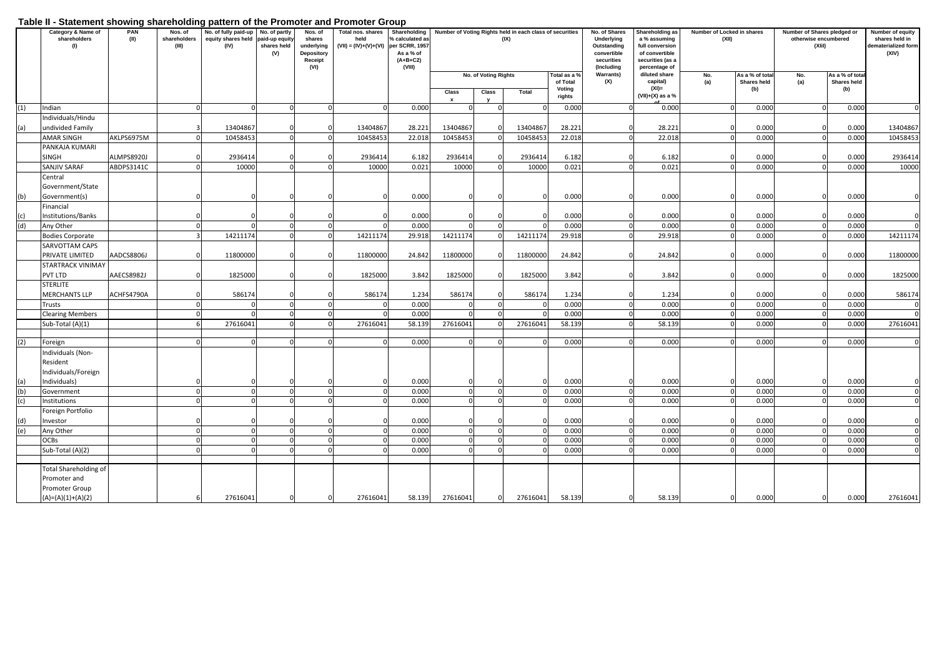### **Table II - Statement showing shareholding pattern of the Promoter and Promoter Group**

|     | Category & Name of<br>shareholders<br>(1) | PAN<br>(II) | Nos. of<br>shareholders<br>(III) | No. of fully paid-up<br>equity shares held<br>(IV) | No. of partly<br>paid-up equity<br>shares held<br>(V) | Nos. of<br>shares<br>underlying<br><b>Depository</b><br>Receipt<br>(VI) | Total nos. shares Shareholding<br>held<br>$(VII) = (IV)+(V)+(VI)$ per SCRR, 1957 | <b>6</b> calculated as<br>As a % of<br>$(A+B+C2)$<br>(VIII) |                      |                      | Number of Voting Rights held in each class of securities<br>(IX) |                          | No. of Shares<br>Underlying<br>Outstanding<br>convertible<br>securities<br>(Including | Shareholding as<br>a % assuming<br>full conversion<br>of convertible<br>securities (as a<br>percentage of | Number of Locked in shares<br>(XII) |                                | Number of Shares pledged or<br>otherwise encumbered<br>(XIii) |                               | <b>Number of equity</b><br>shares held in<br>dematerialized form<br>(XIV) |
|-----|-------------------------------------------|-------------|----------------------------------|----------------------------------------------------|-------------------------------------------------------|-------------------------------------------------------------------------|----------------------------------------------------------------------------------|-------------------------------------------------------------|----------------------|----------------------|------------------------------------------------------------------|--------------------------|---------------------------------------------------------------------------------------|-----------------------------------------------------------------------------------------------------------|-------------------------------------|--------------------------------|---------------------------------------------------------------|-------------------------------|---------------------------------------------------------------------------|
|     |                                           |             |                                  |                                                    |                                                       |                                                                         |                                                                                  |                                                             |                      | No. of Voting Rights |                                                                  | Total as a %<br>of Total | <b>Warrants)</b><br>(X)                                                               | diluted share<br>capital)                                                                                 | No.<br>(a)                          | As a % of total<br>Shares held | No.<br>(a)                                                    | As a % of tota<br>Shares held |                                                                           |
|     |                                           |             |                                  |                                                    |                                                       |                                                                         |                                                                                  |                                                             | Class<br>$\mathbf x$ | Class<br>$\mathbf v$ | Total                                                            | Voting<br>rights         |                                                                                       | $(XI)$ =<br>$(VII)+(X)$ as a %                                                                            |                                     | (b)                            |                                                               | (b)                           |                                                                           |
| (1) | Indian                                    |             | $\Omega$                         |                                                    | $\Omega$                                              | $\Omega$                                                                | $\overline{0}$                                                                   | 0.000                                                       | $\Omega$             | $\Omega$             |                                                                  | 0.000                    |                                                                                       | 0.000                                                                                                     | $\overline{0}$                      | 0.000                          |                                                               | 0.000                         | $\mathbf 0$                                                               |
|     | Individuals/Hindu                         |             |                                  |                                                    |                                                       |                                                                         |                                                                                  |                                                             |                      |                      |                                                                  |                          |                                                                                       |                                                                                                           |                                     |                                |                                                               |                               |                                                                           |
| (a) | undivided Family                          |             |                                  | 13404867                                           |                                                       |                                                                         | 13404867                                                                         | 28.221                                                      | 13404867             |                      | 13404867                                                         | 28.221                   |                                                                                       | 28.221                                                                                                    |                                     | 0.000                          |                                                               | 0.000                         | 13404867                                                                  |
|     | AMAR SINGH                                | AKLPS6975M  |                                  | 10458453                                           |                                                       |                                                                         | 10458453                                                                         | 22.018                                                      | 10458453             |                      | 10458453                                                         | 22.018                   |                                                                                       | 22.018                                                                                                    |                                     | 0.00C                          |                                                               | 0.000                         | 10458453                                                                  |
|     | PANKAJA KUMARI                            |             |                                  |                                                    |                                                       |                                                                         |                                                                                  |                                                             |                      |                      |                                                                  |                          |                                                                                       |                                                                                                           |                                     |                                |                                                               |                               |                                                                           |
|     | <b>SINGH</b>                              | ALMPS8920J  |                                  | 2936414                                            |                                                       |                                                                         | 2936414<br>10000                                                                 | 6.182                                                       | 2936414              |                      | 2936414<br>10000                                                 | 6.182<br>0.021           |                                                                                       | 6.182<br>0.021                                                                                            | $\Omega$                            | 0.000<br>0.000                 |                                                               | 0.000<br>0.000                | 2936414                                                                   |
|     | SANJIV SARAF<br>Central                   | ABDPS3141C  |                                  | 10000                                              |                                                       |                                                                         |                                                                                  | 0.021                                                       | 10000                |                      |                                                                  |                          |                                                                                       | $\mathbf{0}$                                                                                              |                                     |                                |                                                               |                               | 10000                                                                     |
|     | Government/State                          |             |                                  |                                                    |                                                       |                                                                         |                                                                                  |                                                             |                      |                      |                                                                  |                          |                                                                                       |                                                                                                           |                                     |                                |                                                               |                               |                                                                           |
| (b) | Government(s)                             |             |                                  |                                                    |                                                       |                                                                         |                                                                                  | 0.000                                                       | $\Omega$             |                      | $\Omega$                                                         | 0.000                    |                                                                                       | 0.000                                                                                                     | $\Omega$                            | 0.000                          |                                                               | 0.000                         | $\mathbf 0$                                                               |
|     | Financial                                 |             |                                  |                                                    |                                                       |                                                                         |                                                                                  |                                                             |                      |                      |                                                                  |                          |                                                                                       |                                                                                                           |                                     |                                |                                                               |                               |                                                                           |
| (c) | Institutions/Banks                        |             |                                  |                                                    |                                                       |                                                                         | $\Omega$                                                                         | 0.000                                                       | $\Omega$             |                      |                                                                  | 0.000                    |                                                                                       | 0.000                                                                                                     | $\Omega$                            | 0.000                          |                                                               | 0.000                         | $\Omega$                                                                  |
| (d) | Any Other                                 |             |                                  |                                                    |                                                       | $\Omega$                                                                | $\Omega$                                                                         | 0.000                                                       | $\Omega$             |                      |                                                                  | 0.000                    |                                                                                       | 0.000                                                                                                     | $\Omega$                            | 0.000                          |                                                               | 0.000                         | $\Omega$                                                                  |
|     | <b>Bodies Corporate</b>                   |             |                                  | 14211174                                           |                                                       |                                                                         | 14211174                                                                         | 29.918                                                      | 14211174             |                      | 14211174                                                         | 29.918                   | $\Omega$                                                                              | 29.918                                                                                                    | $\Omega$                            | 0.000                          |                                                               | 0.000                         | 14211174                                                                  |
|     | SARVOTTAM CAPS                            |             |                                  |                                                    |                                                       |                                                                         |                                                                                  |                                                             |                      |                      |                                                                  |                          |                                                                                       |                                                                                                           |                                     |                                |                                                               |                               |                                                                           |
|     | PRIVATE LIMITED                           | AADCS8806J  |                                  | 11800000                                           |                                                       |                                                                         | 11800000                                                                         | 24.842                                                      | 11800000             |                      | 11800000                                                         | 24.842                   |                                                                                       | 24.842                                                                                                    |                                     | 0.000                          |                                                               | 0.000                         | 11800000                                                                  |
|     | STARTRACK VINIMAY                         |             |                                  |                                                    |                                                       |                                                                         |                                                                                  |                                                             |                      |                      |                                                                  |                          |                                                                                       |                                                                                                           |                                     |                                |                                                               |                               |                                                                           |
|     | PVT LTD                                   | AAECS8982J  |                                  | 1825000                                            |                                                       |                                                                         | 1825000                                                                          | 3.842                                                       | 1825000              |                      | 1825000                                                          | 3.842                    |                                                                                       | 3.842                                                                                                     | $\Omega$                            | 0.000                          |                                                               | 0.000                         | 1825000                                                                   |
|     | <b>STERLITE</b>                           | ACHFS4790A  |                                  | 586174                                             |                                                       |                                                                         | 586174                                                                           | 1.234                                                       | 586174               |                      | 586174                                                           |                          |                                                                                       |                                                                                                           | n                                   | 0.000                          |                                                               | 0.000                         |                                                                           |
|     | <b>MERCHANTS LLP</b><br>Trusts            |             |                                  |                                                    | $\Omega$                                              |                                                                         | $\Omega$                                                                         | 0.000                                                       | $\Omega$             | $\Omega$             |                                                                  | 1.234<br>0.000           | $\Omega$                                                                              | 1.234<br>0.000                                                                                            | $\Omega$                            | 0.000                          |                                                               | 0.000                         | 586174<br>$\mathbf 0$                                                     |
|     | <b>Clearing Members</b>                   |             |                                  |                                                    |                                                       |                                                                         | $\Omega$                                                                         | 0.000                                                       | $\Omega$             |                      |                                                                  | 0.000                    | $\Omega$                                                                              | 0.000                                                                                                     | $\Omega$                            | 0.000                          |                                                               | 0.000                         | $\Omega$                                                                  |
|     | Sub-Total (A)(1)                          |             |                                  | 27616041                                           |                                                       |                                                                         | 27616041                                                                         | 58.139                                                      | 27616041             |                      | 27616041                                                         | 58.139                   |                                                                                       | 58.139                                                                                                    | $\Omega$                            | 0.000                          |                                                               | 0.000                         | 27616041                                                                  |
|     |                                           |             |                                  |                                                    |                                                       |                                                                         |                                                                                  |                                                             |                      |                      |                                                                  |                          |                                                                                       |                                                                                                           |                                     |                                |                                                               |                               |                                                                           |
| (2) | Foreign                                   |             |                                  |                                                    |                                                       |                                                                         | $\Omega$                                                                         | 0.000                                                       | $\Omega$             |                      |                                                                  | 0.000                    |                                                                                       | 0.000                                                                                                     | $\Omega$                            | 0.000                          |                                                               | 0.000                         | $\Omega$                                                                  |
|     | Individuals (Non-                         |             |                                  |                                                    |                                                       |                                                                         |                                                                                  |                                                             |                      |                      |                                                                  |                          |                                                                                       |                                                                                                           |                                     |                                |                                                               |                               |                                                                           |
|     | Resident                                  |             |                                  |                                                    |                                                       |                                                                         |                                                                                  |                                                             |                      |                      |                                                                  |                          |                                                                                       |                                                                                                           |                                     |                                |                                                               |                               |                                                                           |
|     | Individuals/Foreign                       |             |                                  |                                                    |                                                       |                                                                         |                                                                                  |                                                             |                      |                      |                                                                  |                          |                                                                                       |                                                                                                           |                                     |                                |                                                               |                               |                                                                           |
| (a) | Individuals)                              |             |                                  |                                                    |                                                       |                                                                         | $\Omega$                                                                         | 0.000                                                       | 0                    |                      |                                                                  | 0.000                    |                                                                                       | 0.000                                                                                                     | $\Omega$                            | 0.000                          |                                                               | 0.000                         |                                                                           |
| (b) | Government                                |             |                                  |                                                    |                                                       | $\Omega$                                                                | $\overline{0}$<br>$\Omega$                                                       | 0.000<br>0.000                                              | $\Omega$<br>$\Omega$ | $\Omega$             |                                                                  | 0.000<br>0.000           | $\Omega$                                                                              | 0.000<br>0.000                                                                                            | $\Omega$<br>$\Omega$                | 0.000<br>0.000                 |                                                               | 0.000<br>0.000                | $\mathbf 0$<br>$\mathbf 0$                                                |
| (c) | Institutions                              |             |                                  |                                                    |                                                       |                                                                         |                                                                                  |                                                             |                      |                      |                                                                  |                          |                                                                                       |                                                                                                           |                                     |                                |                                                               |                               |                                                                           |
| (d) | Foreign Portfolio<br>Investor             |             |                                  |                                                    |                                                       |                                                                         |                                                                                  | 0.000                                                       |                      |                      |                                                                  | 0.000                    |                                                                                       | 0.000                                                                                                     |                                     | 0.000                          |                                                               | 0.000                         | $\Omega$                                                                  |
| (e) | Any Other                                 |             |                                  |                                                    |                                                       |                                                                         | $\Omega$                                                                         | 0.000                                                       | $\Omega$             |                      |                                                                  | 0.000                    |                                                                                       | 0.000                                                                                                     | $\Omega$                            | 0.00(                          |                                                               | 0.000                         | $\Omega$                                                                  |
|     | OCBs                                      |             |                                  |                                                    |                                                       |                                                                         | $\mathbf 0$                                                                      | 0.000                                                       | $\Omega$             |                      |                                                                  | 0.000                    |                                                                                       | 0.000                                                                                                     | $\Omega$                            | 0.000                          |                                                               | 0.000                         | $\Omega$                                                                  |
|     | Sub-Total (A)(2)                          |             |                                  |                                                    |                                                       |                                                                         | $\Omega$                                                                         | 0.000                                                       | $\Omega$             |                      |                                                                  | 0.000                    |                                                                                       | 0.000                                                                                                     | $\Omega$                            | 0.000                          |                                                               | 0.000                         | $\Omega$                                                                  |
|     |                                           |             |                                  |                                                    |                                                       |                                                                         |                                                                                  |                                                             |                      |                      |                                                                  |                          |                                                                                       |                                                                                                           |                                     |                                |                                                               |                               |                                                                           |
|     | <b>Total Shareholding of</b>              |             |                                  |                                                    |                                                       |                                                                         |                                                                                  |                                                             |                      |                      |                                                                  |                          |                                                                                       |                                                                                                           |                                     |                                |                                                               |                               |                                                                           |
|     | Promoter and                              |             |                                  |                                                    |                                                       |                                                                         |                                                                                  |                                                             |                      |                      |                                                                  |                          |                                                                                       |                                                                                                           |                                     |                                |                                                               |                               |                                                                           |
|     | Promoter Group                            |             |                                  |                                                    |                                                       |                                                                         |                                                                                  |                                                             |                      |                      |                                                                  |                          |                                                                                       |                                                                                                           |                                     |                                |                                                               |                               |                                                                           |
|     | $(A)=(A)(1)+(A)(2)$                       |             |                                  | 27616041                                           |                                                       |                                                                         | 27616041                                                                         | 58.139                                                      | 27616041             |                      | 27616041                                                         | 58.139                   |                                                                                       | 58.139                                                                                                    | $\Omega$                            | 0.000                          |                                                               | 0.000                         | 27616041                                                                  |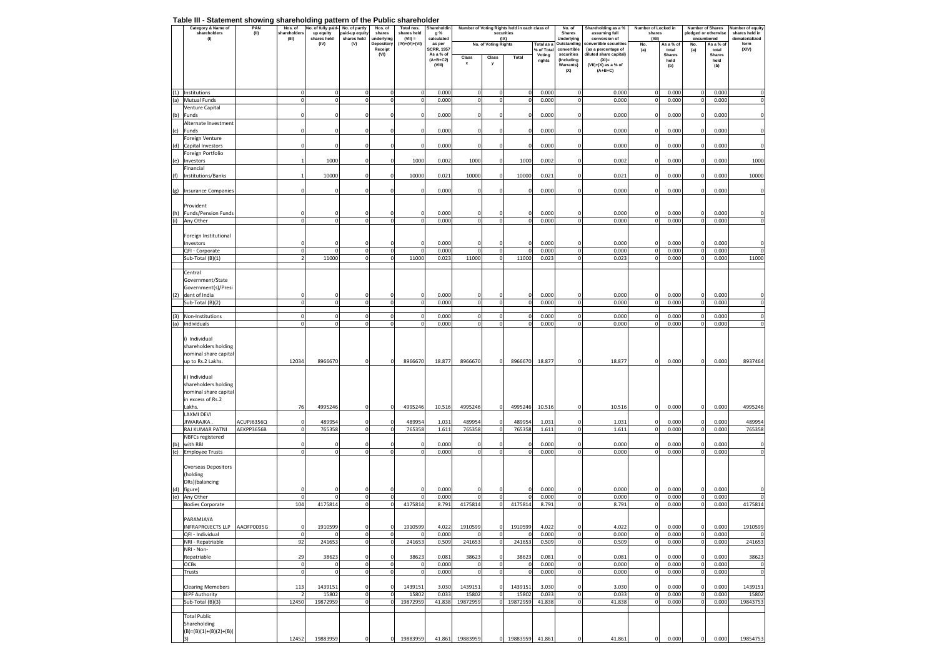#### **Table III - Statement showing shareholding pattern of the Public shareholder**

|     | Category & Name of<br>shareholders                                                             | <b>Vo.</b> of fully paid<br>PAN<br>Nos. of<br>(II)<br>shareholders<br>up equity |                            | No. of partly<br>Nos. of<br>paid-up equity<br>shares |                          | Total nos.<br>shares held | Shareholdin<br>g %           | Number of Voting Rights held in each class of<br>securities<br>(IX) |                             |                               |                  | No. of<br>Shares     | Shareholding as a %<br>assuming full | Number of Locked in<br>shares                 |                        | <b>Number of Shares</b><br>pledged or otherwise<br>encumbered |                             | Number of equity<br>shares held in<br>dematerialized |                  |
|-----|------------------------------------------------------------------------------------------------|---------------------------------------------------------------------------------|----------------------------|------------------------------------------------------|--------------------------|---------------------------|------------------------------|---------------------------------------------------------------------|-----------------------------|-------------------------------|------------------|----------------------|--------------------------------------|-----------------------------------------------|------------------------|---------------------------------------------------------------|-----------------------------|------------------------------------------------------|------------------|
|     | (1)                                                                                            |                                                                                 | (III)                      | shares held<br>(IV)                                  | shares held<br>(V)       | underlying<br>Depository  | $(VII) =$<br>$(IV)+(V)+(VI)$ | calculated<br>as per                                                |                             | No. of Voting Rights          |                  | Total as a           | Underlying<br>Outstanding            | conversion of<br>convertible securitie        | (XII)<br>No.           | As a % of                                                     | No.                         | As a % of                                            | form             |
|     |                                                                                                |                                                                                 |                            |                                                      |                          | Receipt<br>(VI)           |                              | SCRR, 1957<br>As a % of                                             |                             |                               |                  | % of Total<br>Voting | convertible<br>securities            | (as a percentage of<br>diluted share capital) | (a)                    | total<br><b>Shares</b>                                        | (a)                         | total<br><b>Shares</b>                               | (XIV)            |
|     |                                                                                                |                                                                                 |                            |                                                      |                          |                           |                              | $(A+B+C2)$<br>(VIII)                                                | Class<br>$\pmb{\mathsf{x}}$ | Class<br>у                    | Total            | rights               | (Including<br>Warrants)              | $(XI)$ =<br>$(VII)+(X)$ as a % of             |                        | held                                                          |                             | held                                                 |                  |
|     |                                                                                                |                                                                                 |                            |                                                      |                          |                           |                              |                                                                     |                             |                               |                  |                      | (X)                                  | $(A+B+C)$                                     |                        | (b)                                                           |                             | (b)                                                  |                  |
|     | (1) Institutions                                                                               |                                                                                 | 0                          | 0                                                    | $\mathbf 0$              | 0                         | 0                            | 0.000                                                               | $\mathbf 0$                 | $\mathbf 0$                   | $\mathbf 0$      | 0.000                | 0                                    | 0.000                                         | $\mathbf 0$            | 0.000                                                         | $\mathbf 0$                 | 0.000                                                | $^{\circ}$       |
| (a) | Mutual Funds                                                                                   |                                                                                 | $\Omega$                   | $\Omega$                                             | $\pmb{0}$                | $\mathbf 0$               | $\mathbf 0$                  | 0.000                                                               | $\mathbf 0$                 | $\mathbf{0}$                  | $\mathbf 0$      | 0.000                | $\pmb{0}$                            | 0.000                                         | $\pmb{0}$              | 0.000                                                         | $\overline{0}$              | 0.000                                                | $\pmb{0}$        |
| (b) | Venture Capital<br>Funds                                                                       |                                                                                 | C                          | $\Omega$                                             | $\circ$                  | $\Omega$                  | 0                            | 0.000                                                               | $\pmb{0}$                   | $\Omega$                      | $\Omega$         | 0.000                | $\pmb{0}$                            | 0.000                                         | $\pmb{0}$              | 0.000                                                         | $\mathbf 0$                 | 0.000                                                |                  |
|     | Alternate Investment                                                                           |                                                                                 |                            |                                                      |                          |                           |                              |                                                                     |                             |                               |                  |                      |                                      |                                               |                        |                                                               |                             |                                                      |                  |
| (c) | Funds                                                                                          |                                                                                 | C                          | 0                                                    | $\mathbf 0$              | $^{\circ}$                | $\mathbf 0$                  | 0.000                                                               | $\pmb{0}$                   | $^{\circ}$                    | 0                | 0.000                | 0                                    | 0.000                                         | $\mathbf 0$            | 0.000                                                         | 0                           | 0.000                                                | $^{\circ}$       |
|     | Foreign Venture                                                                                |                                                                                 |                            |                                                      |                          |                           |                              |                                                                     |                             |                               |                  |                      |                                      |                                               |                        |                                                               |                             |                                                      |                  |
| (d) | Capital Investors<br>Foreign Portfolio                                                         |                                                                                 | $\epsilon$                 | 0                                                    | 0                        | $^{\circ}$                | $\mathbf 0$                  | 0.000                                                               | $\mathbf 0$                 | 0                             | C                | 0.000                | 0                                    | 0.000                                         | 0                      | 0.000                                                         | $\mathbf{0}$                | 0.000                                                | $^{\circ}$       |
| (e) | Investors                                                                                      |                                                                                 |                            | 1000                                                 | 0                        | $\Omega$                  | 1000                         | 0.002                                                               | 1000                        | 0                             | 1000             | 0.002                | $\mathbf 0$                          | 0.002                                         | $\circ$                | 0.000                                                         | $\mathbf{0}$                | 0.000                                                | 1000             |
|     | Financial                                                                                      |                                                                                 |                            |                                                      |                          |                           |                              |                                                                     |                             |                               |                  |                      |                                      |                                               |                        |                                                               |                             |                                                      |                  |
| (f) | Institutions/Banks                                                                             |                                                                                 | $\overline{1}$             | 10000                                                | $\mathbf 0$              |                           | 10000                        | 0.021                                                               | 10000                       | $\mathbf 0$                   | 10000            | 0.021                | $\mathbf 0$                          | 0.021                                         | $\mathbf{0}$           | 0.000                                                         | $\mathbf{0}$                | 0.000                                                | 10000            |
|     | (g) Insurance Companies                                                                        |                                                                                 | $\sqrt{ }$                 |                                                      | $\Omega$                 | $\Omega$                  | $\mathbf 0$                  | 0.000                                                               | $\mathbf 0$                 | 0                             |                  | 0.000                | 0                                    | 0.000                                         | $\circ$                | 0.000                                                         | $\Omega$                    | 0.000                                                | $\Omega$         |
|     | Provident                                                                                      |                                                                                 |                            |                                                      |                          |                           |                              |                                                                     |                             |                               |                  |                      |                                      |                                               |                        |                                                               |                             |                                                      |                  |
| (h) | Funds/Pension Funds                                                                            |                                                                                 | $\mathbf 0$                | $\Omega$                                             | $\mathbf 0$              | $^{\circ}$                | $^{\circ}$                   | 0.000                                                               | $\mathbf 0$                 | $\Omega$                      | 0                | 0.000                | $\mathbf 0$                          | 0.000                                         | $\mathbf 0$            | 0.000                                                         | 0                           | 0.000                                                | $^{\circ}$       |
| (i) | Any Other                                                                                      |                                                                                 | $\Omega$                   | $\Omega$                                             | $\mathbf 0$              | $\Omega$                  | $\pmb{0}$                    | 0.000                                                               | $\mathbf 0$                 | $\mathbf 0$                   | $\mathbf 0$      | 0.000                | $\pmb{0}$                            | 0.000                                         | $\pmb{0}$              | 0.000                                                         | $\circ$                     | 0.000                                                | $\pmb{0}$        |
|     | Foreign Institutional                                                                          |                                                                                 |                            |                                                      |                          |                           |                              |                                                                     |                             |                               |                  |                      |                                      |                                               |                        |                                                               |                             |                                                      |                  |
|     | Investors                                                                                      |                                                                                 | C                          |                                                      | $\mathbf 0$              | $\Omega$                  | $\mathbf 0$                  | 0.000                                                               | 0                           | $\Omega$                      |                  | 0.000                | $\mathbf 0$                          | 0.000                                         | $\circ$                | 0.000                                                         | $\mathbf{0}$                | 0.000                                                | $\Omega$         |
|     | QFI - Corporate                                                                                |                                                                                 | $\Omega$                   | Ò                                                    | $\pmb{0}$                | $\Omega$                  | $^{\circ}$                   | 0.000                                                               | $\pmb{0}$                   | $\mathbf 0$                   | O                | 0.000                | $\pmb{0}$                            | 0.000                                         | $\mathfrak{o}$         | 0.000                                                         | $\mathbf{0}$                | 0.000                                                | $\Omega$         |
|     | Sub-Total (B)(1)                                                                               |                                                                                 | $\overline{2}$             | 11000                                                | $\mathbf 0$              | $\Omega$                  | 11000                        | 0.023                                                               | 11000                       | $\mathbf{0}$                  | 11000            | 0.023                | $\pmb{0}$                            | 0.023                                         | $\circ$                | 0.000                                                         | $\Omega$                    | 0.000                                                | 11000            |
|     | Central<br>Government/State                                                                    |                                                                                 |                            |                                                      |                          |                           |                              |                                                                     |                             |                               |                  |                      |                                      |                                               |                        |                                                               |                             |                                                      |                  |
|     | Government(s)/Presi                                                                            |                                                                                 |                            |                                                      |                          |                           |                              |                                                                     |                             |                               |                  |                      |                                      |                                               |                        |                                                               |                             |                                                      |                  |
| (2) | dent of India                                                                                  |                                                                                 | C                          |                                                      | $\mathbf 0$              | $\Omega$                  | $\mathbf 0$                  | 0.000                                                               | $\mathbf 0$                 | $\Omega$                      | O                | 0.000                | $\mathbf 0$                          | 0.000                                         | $\circ$                | 0.000                                                         | $\mathbf 0$                 | 0.000                                                | $\Omega$         |
|     | Sub-Total (B)(2)                                                                               |                                                                                 | $\overline{0}$             | $\mathbf 0$                                          | $\pmb{0}$                | 0                         | $\pmb{0}$                    | 0.000                                                               | $\mathbf 0$                 | $\overline{0}$                | 0                | 0.000                | $\pmb{0}$                            | 0.000                                         | $\mathfrak{o}$         | 0.000                                                         | $\mathbf{0}$                | 0.000                                                | $\Omega$         |
| (3) | Non-Institutions                                                                               |                                                                                 | $\circ$                    | $\mathbf 0$                                          | 0                        | 0                         | 0                            | 0.000                                                               | $\mathbf 0$                 | $\mathbf 0$                   | 0                | 0.000                | 0                                    | 0.000                                         | $\circ$                | 0.000                                                         | $\overline{0}$              | 0.000                                                | $^{\circ}$       |
| (a) | Individuals                                                                                    |                                                                                 | $\Omega$                   | $\Omega$                                             | $\Omega$                 | $\Omega$                  | $^{\circ}$                   | 0.000                                                               | $\mathbf 0$                 | $\mathbf{0}$                  | $\overline{0}$   | 0.000                | $\pmb{0}$                            | 0.000                                         | $\Omega$               | 0.000                                                         | $\overline{0}$              | 0.000                                                |                  |
|     | i) Individual<br>shareholders holding<br>nominal share capital<br>up to Rs.2 Lakhs.            |                                                                                 | 12034                      | 8966670                                              | $\mathbf 0$              | $^{\circ}$                | 8966670                      | 18.877                                                              | 8966670                     | $\mathbf 0$                   | 8966670          | 18.877               | $\mathbf 0$                          | 18.877                                        | $\mathbf 0$            | 0.000                                                         | 0                           | 0.000                                                | 8937464          |
|     | ii) Individual<br>shareholders holding<br>nominal share capital<br>in excess of Rs.2<br>Lakhs. |                                                                                 | 76                         | 4995246                                              | $\mathbf 0$              | $^{\circ}$                | 4995246                      | 10.516                                                              | 4995246                     | $\mathbf 0$                   | 4995246          | 10.516               | $\Omega$                             | 10.516                                        | $\mathbf 0$            | 0.000                                                         | $\Omega$                    | 0.000                                                | 4995246          |
|     | LAXMI DEVI                                                                                     |                                                                                 |                            |                                                      |                          |                           |                              |                                                                     |                             |                               |                  |                      |                                      |                                               |                        |                                                               |                             |                                                      |                  |
|     | JIWARAJKA<br>RAJ KUMAR PATNI                                                                   | ACUPJ6356Q<br>AEKPP3656B                                                        | $\mathbf 0$<br>$\mathbf 0$ | 489954<br>765358                                     | $\mathbf 0$<br>$\pmb{0}$ | $\Omega$<br>$\Omega$      | 489954<br>765358             | 1.031<br>1.611                                                      | 489954<br>765358            | $\mathbf 0$<br>$\overline{0}$ | 489954<br>765358 | 1.031<br>1.611       | $\mathbf 0$<br>$\pmb{0}$             | 1.031<br>1.611                                | $\circ$<br>$\circ$     | 0.000<br>0.000                                                | $\mathbf 0$<br>$\mathbf{0}$ | 0.000<br>0.000                                       | 489954<br>765358 |
|     | NBFCs registered                                                                               |                                                                                 |                            |                                                      |                          |                           |                              |                                                                     |                             |                               |                  |                      |                                      |                                               |                        |                                                               |                             |                                                      |                  |
| (b) | with RBI                                                                                       |                                                                                 | 0                          |                                                      | 0                        | $^{\circ}$                | 0                            | 0.000                                                               | 0                           | $^{\circ}$                    |                  | 0.000                | 0                                    | 0.000                                         | O                      | 0.000                                                         | $\mathbf{0}$                | 0.000                                                |                  |
|     | (c) Employee Trusts                                                                            |                                                                                 | $\mathbf 0$                | $\Omega$                                             | $\mathbf 0$              | $\Omega$                  | $\mathbf 0$                  | 0.000                                                               | $\mathbf 0$                 | $\mathbf 0$                   | 0                | 0.000                | $\pmb{0}$                            | 0.000                                         | $\mathbf 0$            | 0.000                                                         | $\mathbf 0$                 | 0.000                                                | $\Omega$         |
| (d) | <b>Overseas Depositors</b><br>(holding<br>DRs)(balancing<br>figure)                            |                                                                                 |                            |                                                      | c                        |                           | 0                            | 0.000                                                               | 0                           |                               |                  | 0.000                |                                      | 0.000                                         | $^{\circ}$             | 0.000                                                         | 0                           | 0.000                                                |                  |
| (e) | Any Other                                                                                      |                                                                                 | $\Omega$                   | $\Omega$                                             | $\mathbf 0$              | $\Omega$                  | $^{\circ}$                   | 0.000                                                               | $\mathbf 0$                 | $\overline{0}$                | $\Omega$         | 0.000                | $\mathbf 0$                          | 0.000                                         | $\Omega$               | 0.000                                                         | $\overline{0}$              | 0.000                                                | $\Omega$         |
|     | <b>Bodies Corporate</b>                                                                        |                                                                                 | 104                        | 4175814                                              | $\mathbf 0$              |                           | 4175814                      | 8.791                                                               | 4175814                     | $\mathbf 0$                   | 4175814          | 8.791                | $\pmb{0}$                            | 8.791                                         |                        | 0.000                                                         | $\Omega$                    | 0.000                                                | 4175814          |
|     | PARAMJAYA<br>INFRAPROJECTS LLP AAOFP0035G                                                      |                                                                                 | $\mathbf 0$                | 1910599                                              | $\mathbf 0$              | $\mathbf{0}$              | 1910599                      | 4.022                                                               | 1910599                     | $\overline{0}$                | 1910599          | 4.022                | $\mathbf 0$                          | 4.022                                         | $\mathbf{0}$           | 0.000                                                         | $\mathbf 0$                 | 0.000                                                | 1910599          |
|     | QFI - Individual                                                                               |                                                                                 | $\mathbf 0$                |                                                      | $\pmb{0}$                | $\mathbf 0$               | 0                            | 0.000                                                               | 0                           | $\circ$                       | $\Omega$         | 0.000                | $\pmb{0}$                            | 0.000                                         | $\pmb{0}$              | 0.000                                                         | $\circ$                     | 0.000                                                | $\mathbf 0$      |
|     | NRI - Repatriable                                                                              |                                                                                 | 92                         | 241653                                               | $\mathbf 0$              | 0                         | 241653                       | 0.509                                                               | 241653                      | $\overline{0}$                | 241653           | 0.509                | $\pmb{0}$                            | 0.509                                         | $\pmb{0}$              | 0.000                                                         | $\overline{0}$              | 0.000                                                | 241653           |
|     | NRI - Non-<br>Repatriable                                                                      |                                                                                 | 29                         | 38623                                                | $\mathbf 0$              | $\mathbf 0$               | 38623                        | 0.081                                                               | 38623                       | $\mathbf 0$                   | 38623            | 0.081                | 0                                    | 0.081                                         | $\mathbf 0$            | 0.000                                                         | $\mathbf 0$                 | 0.000                                                | 38623            |
|     | <b>OCBs</b>                                                                                    |                                                                                 | $\mathbf 0$                | $\Omega$                                             | $\pmb{0}$                | $\Omega$                  | $\mathbf 0$                  | 0.000                                                               | $\pmb{0}$                   | $\circ$                       | O                | 0.000                | $\pmb{0}$                            | 0.000                                         | $\pmb{0}$              | 0.000                                                         | $\mathbf{0}$                | 0.000                                                | $\Omega$         |
|     | Trusts                                                                                         |                                                                                 | $\mathbf 0$                | 0                                                    | $\mathbf 0$              | $\mathbf 0$               | $\pmb{0}$                    | 0.000                                                               | $\mathbf 0$                 | $\overline{0}$                | 0                | 0.000                | $\pmb{0}$                            | 0.000                                         | $\pmb{0}$              | 0.000                                                         | $\overline{0}$              | 0.000                                                | $\Omega$         |
|     | <b>Clearing Memebers</b><br><b>IEPF Authority</b>                                              |                                                                                 | 113<br>$\overline{z}$      | 1439151<br>15802                                     | $\circ$<br>$\mathbf 0$   | 0<br>$\Omega$             | 1439151<br>15802             | 3.030<br>0.033                                                      | 1439151<br>15802            | $\overline{0}$<br>$\circ$     | 1439151<br>15802 | 3.030<br>0.033       | $\pmb{0}$<br>$\pmb{0}$               | 3.030<br>0.033                                | $\pmb{0}$<br>$\pmb{0}$ | 0.000<br>0.000                                                | $\mathbf 0$<br>$\circ$      | 0.000<br>0.000                                       | 1439151<br>15802 |
|     | Sub-Total (B)(3)                                                                               |                                                                                 | 12450                      | 19872959                                             | $\pmb{0}$                | $\mathbf 0$               | 19872959                     | 41.838                                                              | 19872959                    | 0                             | 19872959         | 41.838               | $\pmb{0}$                            | 41.838                                        | $\mathbf 0$            | 0.000                                                         | $\overline{0}$              | 0.000                                                | 19843753         |
|     | <b>Total Public</b>                                                                            |                                                                                 |                            |                                                      |                          |                           |                              |                                                                     |                             |                               |                  |                      |                                      |                                               |                        |                                                               |                             |                                                      |                  |
|     | Shareholding<br>$(B)=(B)(1)+(B)(2)+(B)($                                                       |                                                                                 | 12452                      | 19883959                                             | $\mathbf 0$              | 0                         | 19883959                     | 41.861                                                              | 19883959                    | $\circ$                       | 19883959         | 41.861               | $\mathbf 0$                          | 41.861                                        | $\mathbf 0$            | 0.000                                                         | $\mathbf 0$                 | 0.000                                                | 19854753         |